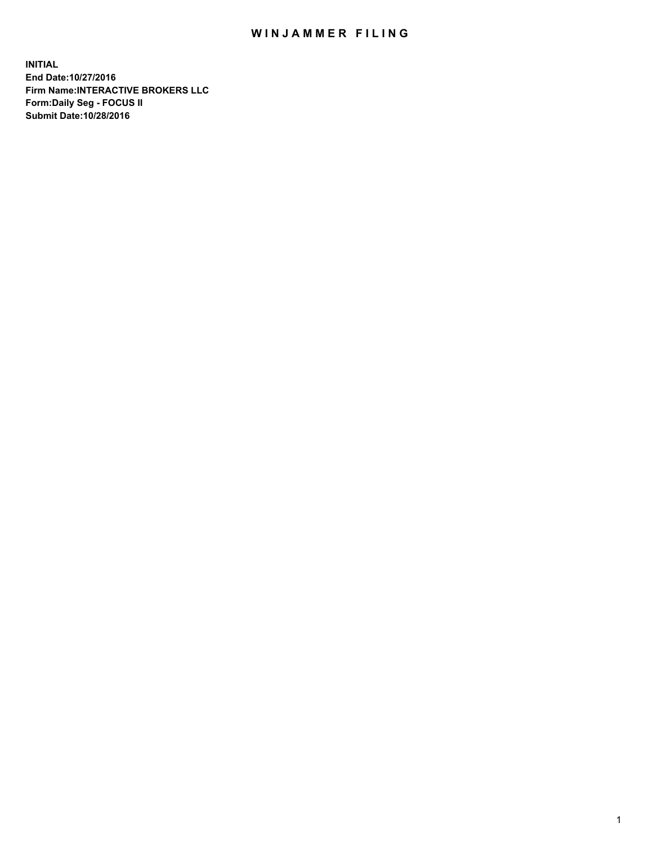## WIN JAMMER FILING

**INITIAL End Date:10/27/2016 Firm Name:INTERACTIVE BROKERS LLC Form:Daily Seg - FOCUS II Submit Date:10/28/2016**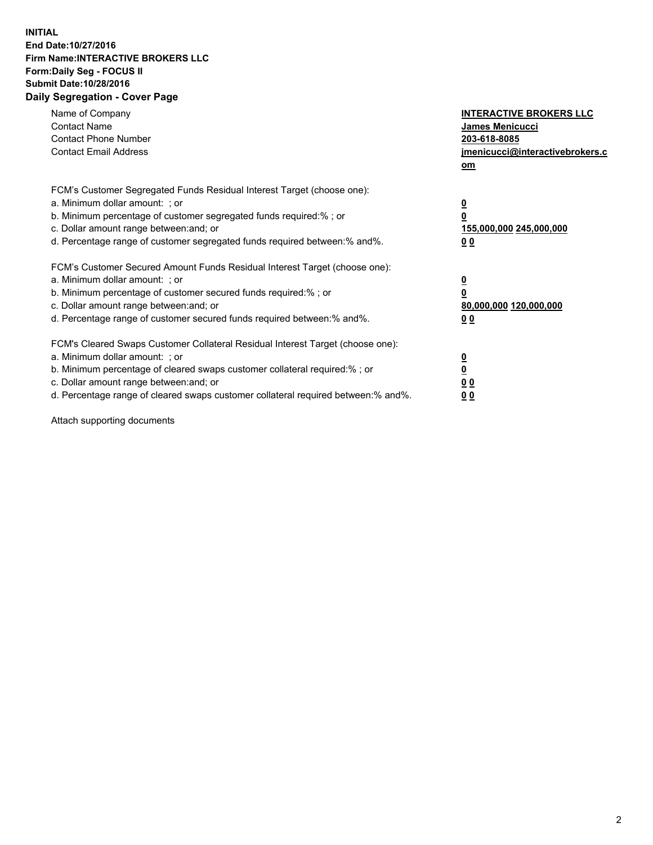## **INITIAL End Date:10/27/2016 Firm Name:INTERACTIVE BROKERS LLC Form:Daily Seg - FOCUS II Submit Date:10/28/2016 Daily Segregation - Cover Page**

| Name of Company<br><b>Contact Name</b><br><b>Contact Phone Number</b><br><b>Contact Email Address</b>                                                                                                                                                                                                                          | <b>INTERACTIVE BROKERS LLC</b><br>James Menicucci<br>203-618-8085<br>jmenicucci@interactivebrokers.c<br>om |
|--------------------------------------------------------------------------------------------------------------------------------------------------------------------------------------------------------------------------------------------------------------------------------------------------------------------------------|------------------------------------------------------------------------------------------------------------|
| FCM's Customer Segregated Funds Residual Interest Target (choose one):<br>a. Minimum dollar amount: ; or<br>b. Minimum percentage of customer segregated funds required:%; or<br>c. Dollar amount range between: and; or<br>d. Percentage range of customer segregated funds required between:% and%.                          | $\overline{\mathbf{0}}$<br>0<br>155,000,000 245,000,000<br>0 <sub>0</sub>                                  |
| FCM's Customer Secured Amount Funds Residual Interest Target (choose one):<br>a. Minimum dollar amount: ; or<br>b. Minimum percentage of customer secured funds required:%; or<br>c. Dollar amount range between: and; or<br>d. Percentage range of customer secured funds required between:% and%.                            | $\overline{\mathbf{0}}$<br>$\overline{\mathbf{0}}$<br>80,000,000 120,000,000<br>00                         |
| FCM's Cleared Swaps Customer Collateral Residual Interest Target (choose one):<br>a. Minimum dollar amount: ; or<br>b. Minimum percentage of cleared swaps customer collateral required:% ; or<br>c. Dollar amount range between: and; or<br>d. Percentage range of cleared swaps customer collateral required between:% and%. | $\overline{\mathbf{0}}$<br>$\overline{\mathbf{0}}$<br>0 <sub>0</sub><br><u>00</u>                          |

Attach supporting documents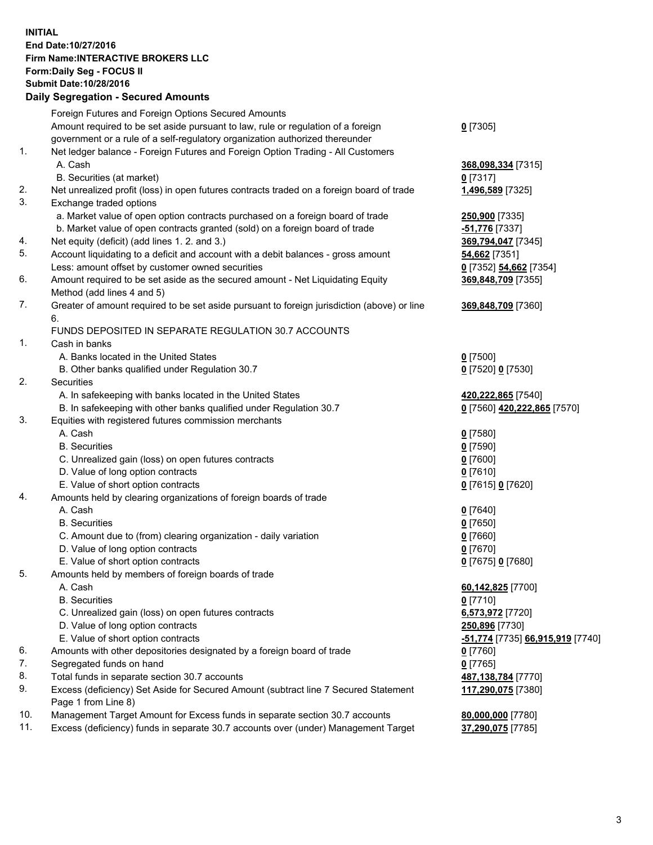## **INITIAL End Date:10/27/2016 Firm Name:INTERACTIVE BROKERS LLC Form:Daily Seg - FOCUS II Submit Date:10/28/2016 Daily Segregation - Secured Amounts**

|     | Daily Jegregation - Jeculed Aniounts                                                        |                                  |
|-----|---------------------------------------------------------------------------------------------|----------------------------------|
|     | Foreign Futures and Foreign Options Secured Amounts                                         |                                  |
|     | Amount required to be set aside pursuant to law, rule or regulation of a foreign            | $0$ [7305]                       |
|     | government or a rule of a self-regulatory organization authorized thereunder                |                                  |
| 1.  | Net ledger balance - Foreign Futures and Foreign Option Trading - All Customers             |                                  |
|     | A. Cash                                                                                     | 368,098,334 [7315]               |
|     | B. Securities (at market)                                                                   | $0$ [7317]                       |
| 2.  | Net unrealized profit (loss) in open futures contracts traded on a foreign board of trade   | 1,496,589 [7325]                 |
| 3.  | Exchange traded options                                                                     |                                  |
|     | a. Market value of open option contracts purchased on a foreign board of trade              | 250,900 [7335]                   |
|     | b. Market value of open contracts granted (sold) on a foreign board of trade                | -51,776 [7337]                   |
| 4.  | Net equity (deficit) (add lines 1. 2. and 3.)                                               | 369,794,047 [7345]               |
| 5.  | Account liquidating to a deficit and account with a debit balances - gross amount           | 54,662 [7351]                    |
|     | Less: amount offset by customer owned securities                                            | 0 [7352] 54,662 [7354]           |
| 6.  | Amount required to be set aside as the secured amount - Net Liquidating Equity              | 369,848,709 [7355]               |
|     | Method (add lines 4 and 5)                                                                  |                                  |
| 7.  | Greater of amount required to be set aside pursuant to foreign jurisdiction (above) or line | 369,848,709 [7360]               |
|     | 6.                                                                                          |                                  |
|     | FUNDS DEPOSITED IN SEPARATE REGULATION 30.7 ACCOUNTS                                        |                                  |
| 1.  | Cash in banks                                                                               |                                  |
|     | A. Banks located in the United States                                                       | $0$ [7500]                       |
|     | B. Other banks qualified under Regulation 30.7                                              | 0 [7520] 0 [7530]                |
| 2.  | Securities                                                                                  |                                  |
|     | A. In safekeeping with banks located in the United States                                   | 420,222,865 [7540]               |
|     | B. In safekeeping with other banks qualified under Regulation 30.7                          | 0 [7560] 420,222,865 [7570]      |
| 3.  | Equities with registered futures commission merchants                                       |                                  |
|     | A. Cash                                                                                     | $0$ [7580]                       |
|     | <b>B.</b> Securities                                                                        | $0$ [7590]                       |
|     | C. Unrealized gain (loss) on open futures contracts                                         | $0$ [7600]                       |
|     | D. Value of long option contracts                                                           | $0$ [7610]                       |
|     | E. Value of short option contracts                                                          |                                  |
| 4.  | Amounts held by clearing organizations of foreign boards of trade                           | 0 [7615] 0 [7620]                |
|     | A. Cash                                                                                     |                                  |
|     | <b>B.</b> Securities                                                                        | $0$ [7640]<br>$0$ [7650]         |
|     |                                                                                             |                                  |
|     | C. Amount due to (from) clearing organization - daily variation                             | $0$ [7660]                       |
|     | D. Value of long option contracts<br>E. Value of short option contracts                     | $0$ [7670]                       |
|     |                                                                                             | 0 [7675] 0 [7680]                |
| 5.  | Amounts held by members of foreign boards of trade                                          |                                  |
|     | A. Cash                                                                                     | 60,142,825 [7700]                |
|     | <b>B.</b> Securities                                                                        | $0$ [7710]                       |
|     | C. Unrealized gain (loss) on open futures contracts                                         | 6,573,972 [7720]                 |
|     | D. Value of long option contracts                                                           | 250,896 [7730]                   |
|     | E. Value of short option contracts                                                          | -51,774 [7735] 66,915,919 [7740] |
| 6.  | Amounts with other depositories designated by a foreign board of trade                      | 0 [7760]                         |
| 7.  | Segregated funds on hand                                                                    | $0$ [7765]                       |
| 8.  | Total funds in separate section 30.7 accounts                                               | 487,138,784 [7770]               |
| 9.  | Excess (deficiency) Set Aside for Secured Amount (subtract line 7 Secured Statement         | 117,290,075 [7380]               |
|     | Page 1 from Line 8)                                                                         |                                  |
| 10. | Management Target Amount for Excess funds in separate section 30.7 accounts                 | 80,000,000 [7780]                |
| 11. | Excess (deficiency) funds in separate 30.7 accounts over (under) Management Target          | 37,290,075 [7785]                |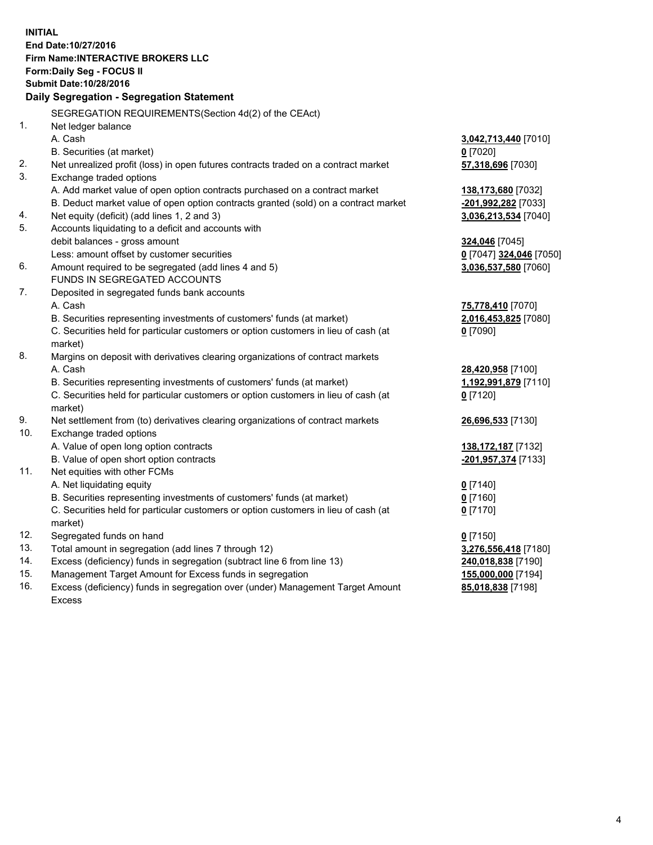**INITIAL End Date:10/27/2016 Firm Name:INTERACTIVE BROKERS LLC Form:Daily Seg - FOCUS II Submit Date:10/28/2016 Daily Segregation - Segregation Statement** SEGREGATION REQUIREMENTS(Section 4d(2) of the CEAct) 1. Net ledger balance A. Cash **3,042,713,440** [7010] B. Securities (at market) **0** [7020] 2. Net unrealized profit (loss) in open futures contracts traded on a contract market **57,318,696** [7030] 3. Exchange traded options A. Add market value of open option contracts purchased on a contract market **138,173,680** [7032] B. Deduct market value of open option contracts granted (sold) on a contract market **-201,992,282** [7033] 4. Net equity (deficit) (add lines 1, 2 and 3) **3,036,213,534** [7040] 5. Accounts liquidating to a deficit and accounts with debit balances - gross amount **324,046** [7045] Less: amount offset by customer securities **0** [7047] **324,046** [7050] 6. Amount required to be segregated (add lines 4 and 5) **3,036,537,580** [7060] FUNDS IN SEGREGATED ACCOUNTS 7. Deposited in segregated funds bank accounts A. Cash **75,778,410** [7070] B. Securities representing investments of customers' funds (at market) **2,016,453,825** [7080] C. Securities held for particular customers or option customers in lieu of cash (at market) **0** [7090] 8. Margins on deposit with derivatives clearing organizations of contract markets A. Cash **28,420,958** [7100] B. Securities representing investments of customers' funds (at market) **1,192,991,879** [7110] C. Securities held for particular customers or option customers in lieu of cash (at market) **0** [7120] 9. Net settlement from (to) derivatives clearing organizations of contract markets **26,696,533** [7130] 10. Exchange traded options A. Value of open long option contracts **138,172,187** [7132] B. Value of open short option contracts **-201,957,374** [7133] 11. Net equities with other FCMs A. Net liquidating equity **0** [7140] B. Securities representing investments of customers' funds (at market) **0** [7160] C. Securities held for particular customers or option customers in lieu of cash (at market) **0** [7170] 12. Segregated funds on hand **0** [7150] 13. Total amount in segregation (add lines 7 through 12) **3,276,556,418** [7180] 14. Excess (deficiency) funds in segregation (subtract line 6 from line 13) **240,018,838** [7190] 15. Management Target Amount for Excess funds in segregation **155,000,000** [7194]

16. Excess (deficiency) funds in segregation over (under) Management Target Amount Excess

**85,018,838** [7198]